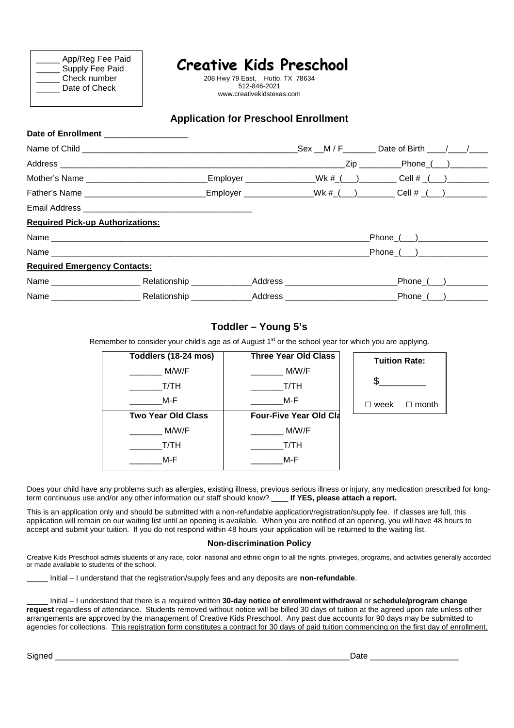|--|

208 Hwy 79 East, Hutto, TX 78634 512-846-2021 www.creativekidstexas.com

### **Application for Preschool Enrollment**

| Date of Enrollment |  |
|--------------------|--|

|                                         |  | $Sex$ M/F Date of Birth $/$                                                          |
|-----------------------------------------|--|--------------------------------------------------------------------------------------|
|                                         |  | ________________Zip __________Phone_(___)_________                                   |
|                                         |  | _Employer ______________Wk #_(__)________                       Cell # _(__)________ |
|                                         |  | Father's Name $\qquad \qquad$ Employer $\qquad \qquad$ Wk # $($ $)$ Cell # $($ $)$   |
|                                         |  |                                                                                      |
| <b>Required Pick-up Authorizations:</b> |  |                                                                                      |
|                                         |  | _Phone_(___)_________________                                                        |
|                                         |  | Phone ( )                                                                            |
| <b>Required Emergency Contacts:</b>     |  |                                                                                      |
|                                         |  | _Phone_(___)_________                                                                |
|                                         |  | $Phone$ $($ $)$ $)$                                                                  |

#### **Toddler – Young 5's**

Remember to consider your child's age as of August 1<sup>st</sup> or the school year for which you are applying.

| Toddlers (18-24 mos)      | <b>Three Year Old Class</b>   | <b>Tuition Rate:</b>      |
|---------------------------|-------------------------------|---------------------------|
| M/W/F                     | M/W/F                         |                           |
| T/TH                      | T/TH                          |                           |
| M-F                       | M-F                           | $\Box$ month<br>week<br>П |
| <b>Two Year Old Class</b> | <b>Four-Five Year Old Cla</b> |                           |
| M/W/F                     | M/W/F                         |                           |
| T/TH                      | T/TH                          |                           |
| M-F                       | M-F                           |                           |

Does your child have any problems such as allergies, existing illness, previous serious illness or injury, any medication prescribed for longterm continuous use and/or any other information our staff should know? \_\_\_\_ **If YES, please attach a report.**

This is an application only and should be submitted with a non-refundable application/registration/supply fee. If classes are full, this application will remain on our waiting list until an opening is available. When you are notified of an opening, you will have 48 hours to accept and submit your tuition. If you do not respond within 48 hours your application will be returned to the waiting list.

#### **Non-discrimination Policy**

Creative Kids Preschool admits students of any race, color, national and ethnic origin to all the rights, privileges, programs, and activities generally accorded or made available to students of the school.

\_\_\_\_\_ Initial – I understand that the registration/supply fees and any deposits are **non-refundable**.

\_\_\_\_\_ Initial – I understand that there is a required written **30-day notice of enrollment withdrawal** or **schedule/program change request** regardless of attendance. Students removed without notice will be billed 30 days of tuition at the agreed upon rate unless other arrangements are approved by the management of Creative Kids Preschool. Any past due accounts for 90 days may be submitted to agencies for collections. This registration form constitutes a contract for 30 days of paid tuition commencing on the first day of enrollment.

Signed **Example 2** and the set of the set of the set of the set of the set of the set of the set of the set of the set of the set of the set of the set of the set of the set of the set of the set of the set of the set of t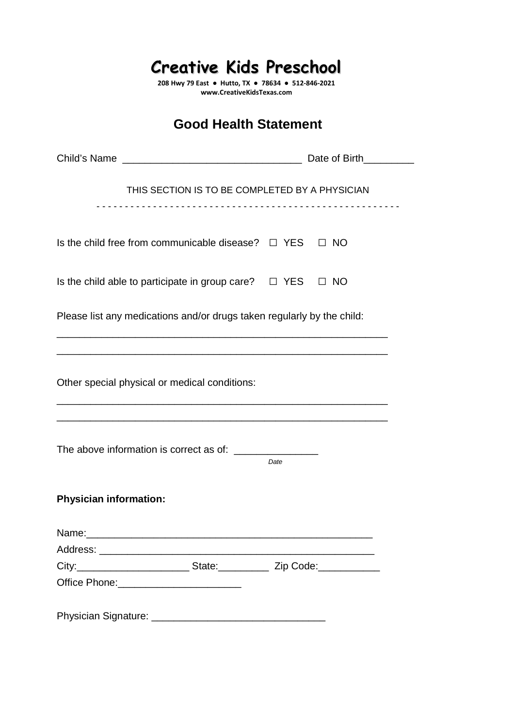**208 Hwy 79 East ● Hutto, TX ● 78634 ● 512-846-2021 www.CreativeKidsTexas.com** 

## **Good Health Statement**

| THIS SECTION IS TO BE COMPLETED BY A PHYSICIAN                                    |      |  |  |
|-----------------------------------------------------------------------------------|------|--|--|
| Is the child free from communicable disease? $\Box$ YES $\Box$ NO                 |      |  |  |
| Is the child able to participate in group care? $\Box$ YES $\Box$ NO              |      |  |  |
| Please list any medications and/or drugs taken regularly by the child:            |      |  |  |
| Other special physical or medical conditions:                                     |      |  |  |
|                                                                                   |      |  |  |
|                                                                                   | Date |  |  |
| <b>Physician information:</b>                                                     |      |  |  |
| Name:                                                                             |      |  |  |
|                                                                                   |      |  |  |
| City: ______________________________State: ________________ Zip Code: ___________ |      |  |  |
|                                                                                   |      |  |  |
|                                                                                   |      |  |  |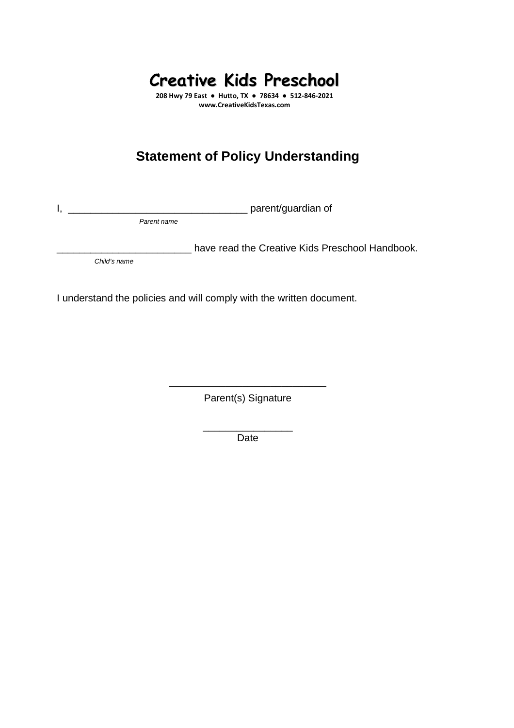**208 Hwy 79 East ● Hutto, TX ● 78634 ● 512-846-2021 www.CreativeKidsTexas.com** 

# **Statement of Policy Understanding**

I, \_\_\_\_\_\_\_\_\_\_\_\_\_\_\_\_\_\_\_\_\_\_\_\_\_\_\_\_\_\_\_\_ parent/guardian of

Parent name

**\_\_\_\_\_** have read the Creative Kids Preschool Handbook.

Child's name

I understand the policies and will comply with the written document.

\_\_\_\_\_\_\_\_\_\_\_\_\_\_\_\_\_\_\_\_\_\_\_\_\_\_\_\_ Parent(s) Signature

> \_\_\_\_\_\_\_\_\_\_\_\_\_\_\_\_ Date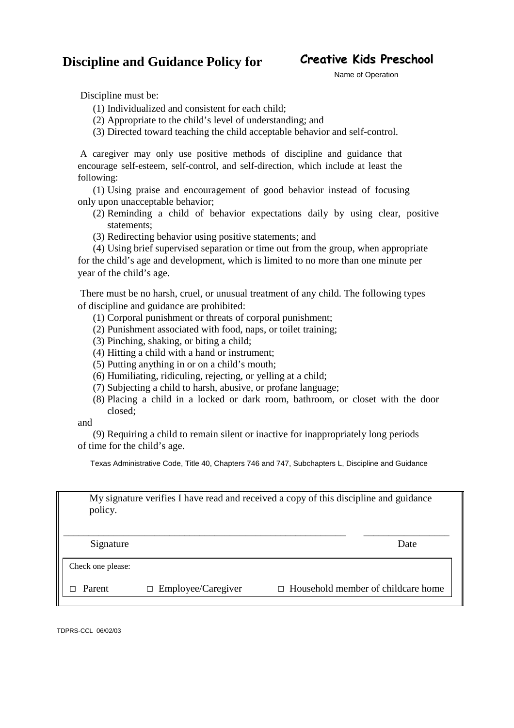## **Discipline and Guidance Policy for**

## **Creative Kids Preschool**

Name of Operation

Discipline must be:

- (1) Individualized and consistent for each child;
- (2) Appropriate to the child's level of understanding; and
- (3) Directed toward teaching the child acceptable behavior and self-control.

A caregiver may only use positive methods of discipline and guidance that encourage self-esteem, self-control, and self-direction, which include at least the following:

(1) Using praise and encouragement of good behavior instead of focusing only upon unacceptable behavior;

- (2) Reminding a child of behavior expectations daily by using clear, positive statements;
- (3) Redirecting behavior using positive statements; and

(4) Using brief supervised separation or time out from the group, when appropriate for the child's age and development, which is limited to no more than one minute per year of the child's age.

There must be no harsh, cruel, or unusual treatment of any child. The following types of discipline and guidance are prohibited:

- (1) Corporal punishment or threats of corporal punishment;
- (2) Punishment associated with food, naps, or toilet training;
- (3) Pinching, shaking, or biting a child;
- (4) Hitting a child with a hand or instrument;
- (5) Putting anything in or on a child's mouth;
- (6) Humiliating, ridiculing, rejecting, or yelling at a child;
- (7) Subjecting a child to harsh, abusive, or profane language;
- (8) Placing a child in a locked or dark room, bathroom, or closet with the door closed;

and

(9) Requiring a child to remain silent or inactive for inappropriately long periods of time for the child's age.

Texas Administrative Code, Title 40, Chapters 746 and 747, Subchapters L, Discipline and Guidance

My signature verifies I have read and received a copy of this discipline and guidance policy.

\_\_\_\_\_\_\_\_\_\_\_\_\_\_\_\_\_\_\_\_\_\_\_\_\_\_\_\_\_\_\_\_\_\_\_\_\_\_\_\_\_\_\_\_\_\_\_\_\_\_\_\_\_\_\_\_ \_\_\_\_\_\_\_\_\_\_\_\_\_\_\_\_\_

Signature Date

Check one please:

 $\Box$  Parent

□ Employee/Caregiver □ Household member of childcare home

TDPRS-CCL 06/02/03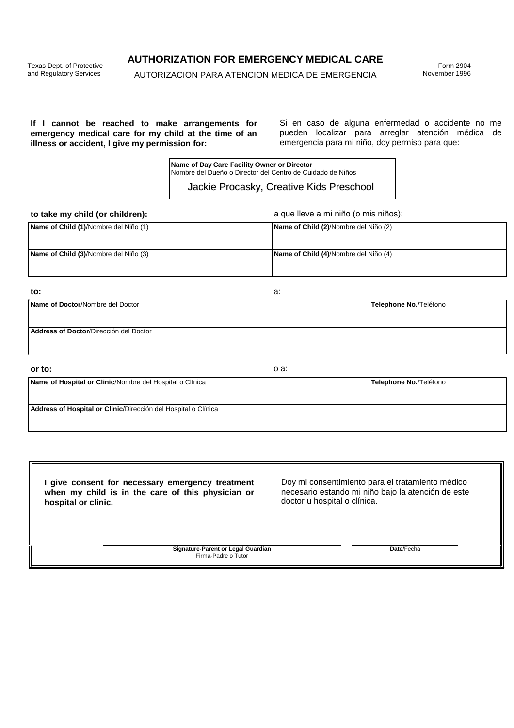Texas Dept. of Protective and Regulatory Services

**AUTHORIZATION FOR EMERGENCY MEDICAL CARE** 

AUTORIZACION PARA ATENCION MEDICA DE EMERGENCIA

Form 2904 November 1996

#### **If I cannot be reached to make arrangements for emergency medical care for my child at the time of an illness or accident, I give my permission for:**

Si en caso de alguna enfermedad o accidente no me pueden localizar para arreglar atención médica de emergencia para mi niño, doy permiso para que:

**Name of Day Care Facility Owner or Director**  Nombre del Dueño o Director del Centro de Cuidado de Niños

#### Jackie Procasky, Creative Kids Preschool

**to take my child (or children):** a que lleve a mi niño (o mis niños):

| Name of Child (1)/Nombre del Niño (1) | Name of Child (2)/Nombre del Niño (2) |
|---------------------------------------|---------------------------------------|
| Name of Child (3)/Nombre del Niño (3) | Name of Child (4)/Nombre del Niño (4) |

| to:                                    | a: |                        |
|----------------------------------------|----|------------------------|
| Name of Doctor/Nombre del Doctor       |    | Telephone No./Teléfono |
|                                        |    |                        |
| Address of Doctor/Dirección del Doctor |    |                        |
|                                        |    |                        |

| or to:                                                         | o a: |                        |
|----------------------------------------------------------------|------|------------------------|
| Name of Hospital or Clinic/Nombre del Hospital o Clínica       |      | Telephone No./Teléfono |
| Address of Hospital or Clinic/Dirección del Hospital o Clínica |      |                        |

**I give consent for necessary emergency treatment when my child is in the care of this physician or hospital or clinic.**

Doy mi consentimiento para el tratamiento médico necesario estando mi niño bajo la atención de este doctor u hospital o clínica.

**Signature-Parent or Legal Guardian**  Firma-Padre o Tutor

**Date**/Fecha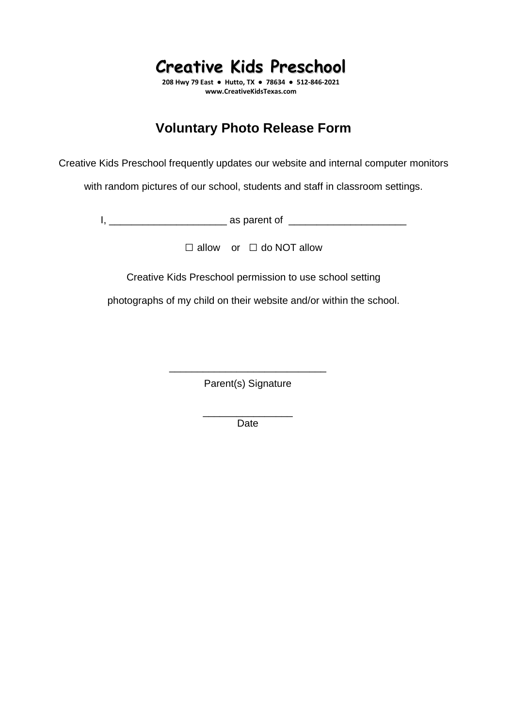**208 Hwy 79 East ● Hutto, TX ● 78634 ● 512-846-2021 www.CreativeKidsTexas.com** 

## **Voluntary Photo Release Form**

Creative Kids Preschool frequently updates our website and internal computer monitors

with random pictures of our school, students and staff in classroom settings.

I, \_\_\_\_\_\_\_\_\_\_\_\_\_\_\_\_\_\_\_\_\_ as parent of \_\_\_\_\_\_\_\_\_\_\_\_\_\_\_\_\_\_\_\_\_

□ allow or □ do NOT allow

Creative Kids Preschool permission to use school setting

photographs of my child on their website and/or within the school.

\_\_\_\_\_\_\_\_\_\_\_\_\_\_\_\_\_\_\_\_\_\_\_\_\_\_\_\_ Parent(s) Signature

> \_\_\_\_\_\_\_\_\_\_\_\_\_\_\_\_ Date